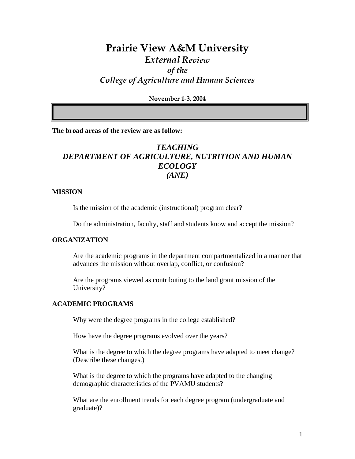# **Prairie View A&M University**  *External Review of the College of Agriculture and Human Sciences*

**November 1-3, 2004** 

**The broad areas of the review are as follow:** 

# *TEACHING DEPARTMENT OF AGRICULTURE, NUTRITION AND HUMAN ECOLOGY (ANE)*

#### **MISSION**

Is the mission of the academic (instructional) program clear?

Do the administration, faculty, staff and students know and accept the mission?

#### **ORGANIZATION**

Are the academic programs in the department compartmentalized in a manner that advances the mission without overlap, conflict, or confusion?

Are the programs viewed as contributing to the land grant mission of the University?

#### **ACADEMIC PROGRAMS**

Why were the degree programs in the college established?

How have the degree programs evolved over the years?

What is the degree to which the degree programs have adapted to meet change? (Describe these changes.)

What is the degree to which the programs have adapted to the changing demographic characteristics of the PVAMU students?

What are the enrollment trends for each degree program (undergraduate and graduate)?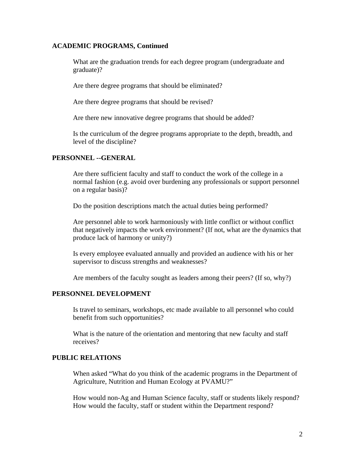#### **ACADEMIC PROGRAMS, Continued**

What are the graduation trends for each degree program (undergraduate and graduate)?

Are there degree programs that should be eliminated?

Are there degree programs that should be revised?

Are there new innovative degree programs that should be added?

Is the curriculum of the degree programs appropriate to the depth, breadth, and level of the discipline?

# **PERSONNEL --GENERAL**

Are there sufficient faculty and staff to conduct the work of the college in a normal fashion (e.g. avoid over burdening any professionals or support personnel on a regular basis)?

Do the position descriptions match the actual duties being performed?

Are personnel able to work harmoniously with little conflict or without conflict that negatively impacts the work environment? (If not, what are the dynamics that produce lack of harmony or unity?)

Is every employee evaluated annually and provided an audience with his or her supervisor to discuss strengths and weaknesses?

Are members of the faculty sought as leaders among their peers? (If so, why?)

### **PERSONNEL DEVELOPMENT**

Is travel to seminars, workshops, etc made available to all personnel who could benefit from such opportunities?

What is the nature of the orientation and mentoring that new faculty and staff receives?

## **PUBLIC RELATIONS**

When asked "What do you think of the academic programs in the Department of Agriculture, Nutrition and Human Ecology at PVAMU?"

How would non-Ag and Human Science faculty, staff or students likely respond? How would the faculty, staff or student within the Department respond?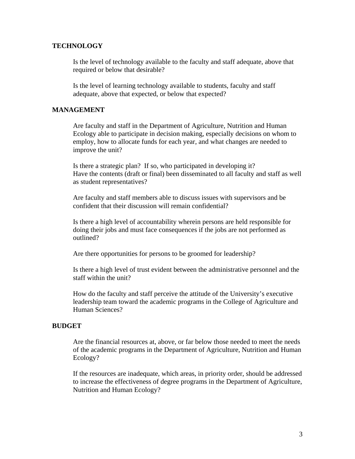#### **TECHNOLOGY**

Is the level of technology available to the faculty and staff adequate, above that required or below that desirable?

Is the level of learning technology available to students, faculty and staff adequate, above that expected, or below that expected?

#### **MANAGEMENT**

Are faculty and staff in the Department of Agriculture, Nutrition and Human Ecology able to participate in decision making, especially decisions on whom to employ, how to allocate funds for each year, and what changes are needed to improve the unit?

Is there a strategic plan? If so, who participated in developing it? Have the contents (draft or final) been disseminated to all faculty and staff as well as student representatives?

Are faculty and staff members able to discuss issues with supervisors and be confident that their discussion will remain confidential?

Is there a high level of accountability wherein persons are held responsible for doing their jobs and must face consequences if the jobs are not performed as outlined?

Are there opportunities for persons to be groomed for leadership?

Is there a high level of trust evident between the administrative personnel and the staff within the unit?

How do the faculty and staff perceive the attitude of the University's executive leadership team toward the academic programs in the College of Agriculture and Human Sciences?

#### **BUDGET**

Are the financial resources at, above, or far below those needed to meet the needs of the academic programs in the Department of Agriculture, Nutrition and Human Ecology?

If the resources are inadequate, which areas, in priority order, should be addressed to increase the effectiveness of degree programs in the Department of Agriculture, Nutrition and Human Ecology?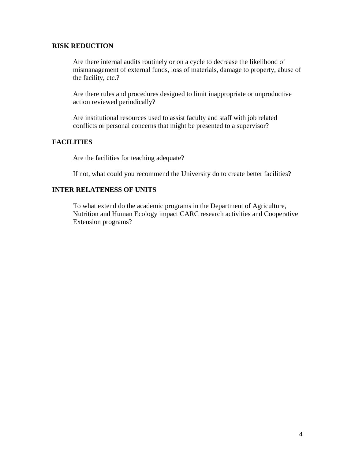### **RISK REDUCTION**

Are there internal audits routinely or on a cycle to decrease the likelihood of mismanagement of external funds, loss of materials, damage to property, abuse of the facility, etc.?

Are there rules and procedures designed to limit inappropriate or unproductive action reviewed periodically?

Are institutional resources used to assist faculty and staff with job related conflicts or personal concerns that might be presented to a supervisor?

# **FACILITIES**

Are the facilities for teaching adequate?

If not, what could you recommend the University do to create better facilities?

# **INTER RELATENESS OF UNITS**

To what extend do the academic programs in the Department of Agriculture, Nutrition and Human Ecology impact CARC research activities and Cooperative Extension programs?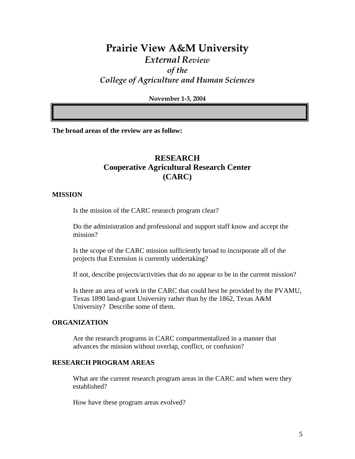# **Prairie View A&M University**  *External Review of the College of Agriculture and Human Sciences*

**November 1-3, 2004** 

**The broad areas of the review are as follow:** 

# **RESEARCH Cooperative Agricultural Research Center (CARC)**

#### **MISSION**

Is the mission of the CARC research program clear?

Do the administration and professional and support staff know and accept the mission?

Is the scope of the CARC mission sufficiently broad to incorporate all of the projects that Extension is currently undertaking?

If not, describe projects/activities that do no appear to be in the current mission?

Is there an area of work in the CARC that could best be provided by the PVAMU, Texas 1890 land-grant University rather than by the 1862, Texas A&M University? Describe some of them.

# **ORGANIZATION**

Are the research programs in CARC compartmentalized in a manner that advances the mission without overlap, conflict, or confusion?

#### **RESEARCH PROGRAM AREAS**

What are the current research program areas in the CARC and when were they established?

How have these program areas evolved?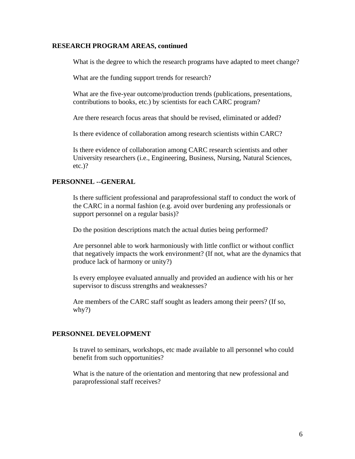#### **RESEARCH PROGRAM AREAS, continued**

What is the degree to which the research programs have adapted to meet change?

What are the funding support trends for research?

What are the five-year outcome/production trends (publications, presentations, contributions to books, etc.) by scientists for each CARC program?

Are there research focus areas that should be revised, eliminated or added?

Is there evidence of collaboration among research scientists within CARC?

Is there evidence of collaboration among CARC research scientists and other University researchers (i.e., Engineering, Business, Nursing, Natural Sciences, etc.)?

# **PERSONNEL --GENERAL**

Is there sufficient professional and paraprofessional staff to conduct the work of the CARC in a normal fashion (e.g. avoid over burdening any professionals or support personnel on a regular basis)?

Do the position descriptions match the actual duties being performed?

Are personnel able to work harmoniously with little conflict or without conflict that negatively impacts the work environment? (If not, what are the dynamics that produce lack of harmony or unity?)

Is every employee evaluated annually and provided an audience with his or her supervisor to discuss strengths and weaknesses?

Are members of the CARC staff sought as leaders among their peers? (If so, why?)

### **PERSONNEL DEVELOPMENT**

Is travel to seminars, workshops, etc made available to all personnel who could benefit from such opportunities?

What is the nature of the orientation and mentoring that new professional and paraprofessional staff receives?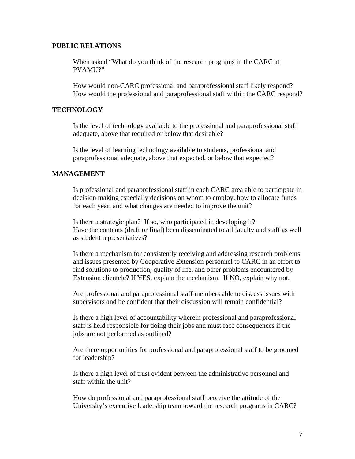#### **PUBLIC RELATIONS**

When asked "What do you think of the research programs in the CARC at PVAMU?"

How would non-CARC professional and paraprofessional staff likely respond? How would the professional and paraprofessional staff within the CARC respond?

# **TECHNOLOGY**

Is the level of technology available to the professional and paraprofessional staff adequate, above that required or below that desirable?

Is the level of learning technology available to students, professional and paraprofessional adequate, above that expected, or below that expected?

#### **MANAGEMENT**

Is professional and paraprofessional staff in each CARC area able to participate in decision making especially decisions on whom to employ, how to allocate funds for each year, and what changes are needed to improve the unit?

Is there a strategic plan? If so, who participated in developing it? Have the contents (draft or final) been disseminated to all faculty and staff as well as student representatives?

Is there a mechanism for consistently receiving and addressing research problems and issues presented by Cooperative Extension personnel to CARC in an effort to find solutions to production, quality of life, and other problems encountered by Extension clientele? If YES, explain the mechanism. If NO, explain why not.

Are professional and paraprofessional staff members able to discuss issues with supervisors and be confident that their discussion will remain confidential?

Is there a high level of accountability wherein professional and paraprofessional staff is held responsible for doing their jobs and must face consequences if the jobs are not performed as outlined?

Are there opportunities for professional and paraprofessional staff to be groomed for leadership?

Is there a high level of trust evident between the administrative personnel and staff within the unit?

How do professional and paraprofessional staff perceive the attitude of the University's executive leadership team toward the research programs in CARC?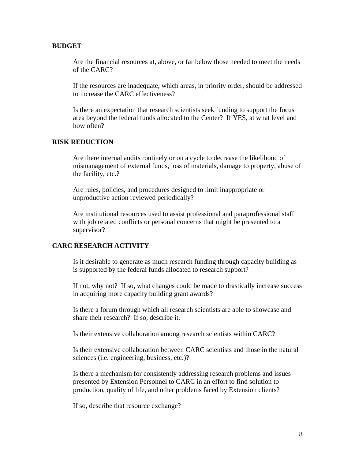#### **BUDGET**

Are the financial resources at, above, or far below those needed to meet the needs of the CARC?

If the resources are inadequate, which areas, in priority order, should be addressed to increase the CARC effectiveness?

Is there an expectation that research scientists seek funding to support the focus area beyond the federal funds allocated to the Center? If YES, at what level and how often?

# **RISK REDUCTION**

Are there internal audits routinely or on a cycle to decrease the likelihood of mismanagement of external funds, loss of materials, damage to property, abuse of the facility, etc.?

Are rules, policies, and procedures designed to limit inappropriate or unproductive action reviewed periodically?

Are institutional resources used to assist professional and paraprofessional staff with job related conflicts or personal concerns that might be presented to a supervisor?

# **CARC RESEARCH ACTIVITY**

Is it desirable to generate as much research funding through capacity building as is supported by the federal funds allocated to research support?

If not, why not? If so, what changes could be made to drastically increase success in acquiring more capacity building grant awards?

Is there a forum through which all research scientists are able to showcase and share their research? If so, describe it.

Is their extensive collaboration among research scientists within CARC?

Is their extensive collaboration between CARC scientists and those in the natural sciences (i.e. engineering, business, etc.)?

Is there a mechanism for consistently addressing research problems and issues presented by Extension Personnel to CARC in an effort to find solution to production, quality of life, and other problems faced by Extension clients?

If so, describe that resource exchange?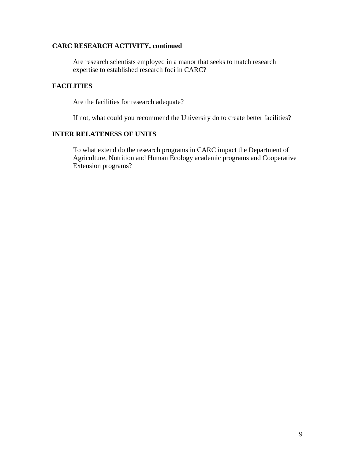# **CARC RESEARCH ACTIVITY, continued**

Are research scientists employed in a manor that seeks to match research expertise to established research foci in CARC?

# **FACILITIES**

Are the facilities for research adequate?

If not, what could you recommend the University do to create better facilities?

### **INTER RELATENESS OF UNITS**

To what extend do the research programs in CARC impact the Department of Agriculture, Nutrition and Human Ecology academic programs and Cooperative Extension programs?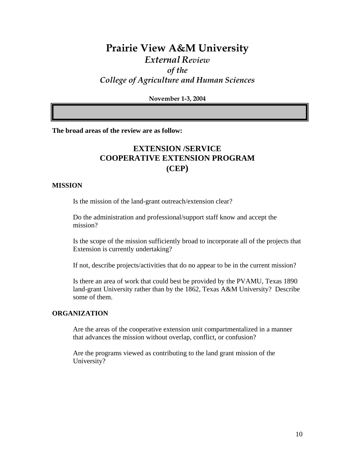# **Prairie View A&M University**  *External Review of the College of Agriculture and Human Sciences*

**November 1-3, 2004** 

**The broad areas of the review are as follow:** 

# **EXTENSION /SERVICE COOPERATIVE EXTENSION PROGRAM (CEP)**

#### **MISSION**

Is the mission of the land-grant outreach/extension clear?

Do the administration and professional/support staff know and accept the mission?

Is the scope of the mission sufficiently broad to incorporate all of the projects that Extension is currently undertaking?

If not, describe projects/activities that do no appear to be in the current mission?

Is there an area of work that could best be provided by the PVAMU, Texas 1890 land-grant University rather than by the 1862, Texas A&M University? Describe some of them.

## **ORGANIZATION**

Are the areas of the cooperative extension unit compartmentalized in a manner that advances the mission without overlap, conflict, or confusion?

Are the programs viewed as contributing to the land grant mission of the University?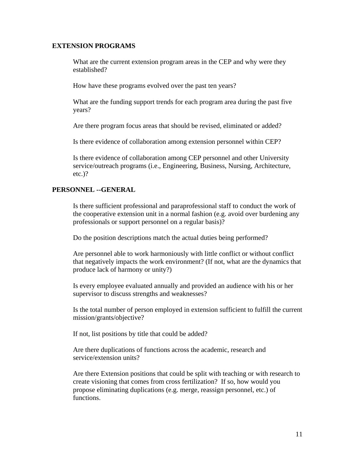### **EXTENSION PROGRAMS**

What are the current extension program areas in the CEP and why were they established?

How have these programs evolved over the past ten years?

What are the funding support trends for each program area during the past five years?

Are there program focus areas that should be revised, eliminated or added?

Is there evidence of collaboration among extension personnel within CEP?

Is there evidence of collaboration among CEP personnel and other University service/outreach programs (i.e., Engineering, Business, Nursing, Architecture, etc.)?

# **PERSONNEL --GENERAL**

Is there sufficient professional and paraprofessional staff to conduct the work of the cooperative extension unit in a normal fashion (e.g. avoid over burdening any professionals or support personnel on a regular basis)?

Do the position descriptions match the actual duties being performed?

Are personnel able to work harmoniously with little conflict or without conflict that negatively impacts the work environment? (If not, what are the dynamics that produce lack of harmony or unity?)

Is every employee evaluated annually and provided an audience with his or her supervisor to discuss strengths and weaknesses?

Is the total number of person employed in extension sufficient to fulfill the current mission/grants/objective?

If not, list positions by title that could be added?

Are there duplications of functions across the academic, research and service/extension units?

Are there Extension positions that could be split with teaching or with research to create visioning that comes from cross fertilization? If so, how would you propose eliminating duplications (e.g. merge, reassign personnel, etc.) of functions.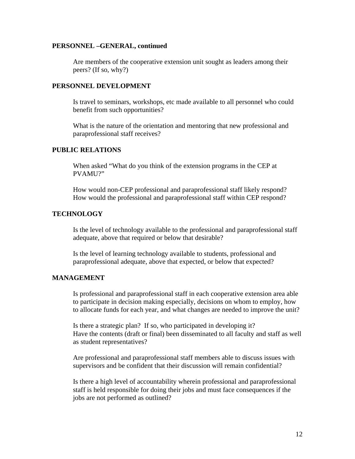#### **PERSONNEL –GENERAL, continued**

Are members of the cooperative extension unit sought as leaders among their peers? (If so, why?)

#### **PERSONNEL DEVELOPMENT**

Is travel to seminars, workshops, etc made available to all personnel who could benefit from such opportunities?

What is the nature of the orientation and mentoring that new professional and paraprofessional staff receives?

## **PUBLIC RELATIONS**

When asked "What do you think of the extension programs in the CEP at PVAMU?"

How would non-CEP professional and paraprofessional staff likely respond? How would the professional and paraprofessional staff within CEP respond?

# **TECHNOLOGY**

Is the level of technology available to the professional and paraprofessional staff adequate, above that required or below that desirable?

Is the level of learning technology available to students, professional and paraprofessional adequate, above that expected, or below that expected?

#### **MANAGEMENT**

Is professional and paraprofessional staff in each cooperative extension area able to participate in decision making especially, decisions on whom to employ, how to allocate funds for each year, and what changes are needed to improve the unit?

Is there a strategic plan? If so, who participated in developing it? Have the contents (draft or final) been disseminated to all faculty and staff as well as student representatives?

Are professional and paraprofessional staff members able to discuss issues with supervisors and be confident that their discussion will remain confidential?

Is there a high level of accountability wherein professional and paraprofessional staff is held responsible for doing their jobs and must face consequences if the jobs are not performed as outlined?